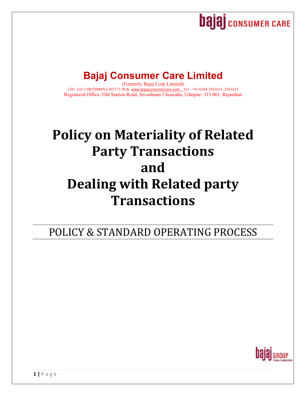

# **Bajaj Consumer Care Limited**

(Formerly Bajaj Corp Limited) CIN: L01110RJ2006PLC047173 Web: www.bajajconsumercare.com Tel.: +91 0294-2561631, 2561632 Registered Office: Old Station Road, Sevashram Chouraha, Udaipur- 313 001, Rajasthan

# **Policy on Materiality of Related Party Transactions and Dealing with Related party Transactions**

# POLICY & STANDARD OPERATING PROCESS

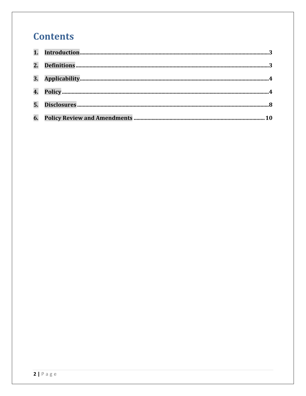# **Contents**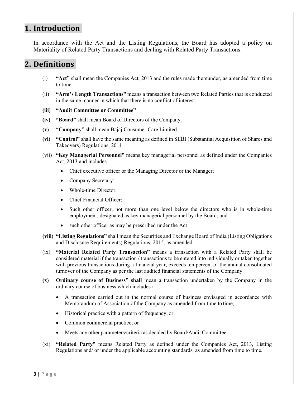### 1. **Introduction**

In accordance with the Act and the Listing Regulations, the Board has adopted a policy on Materiality of Related Party Transactions and dealing with Related Party Transactions.

### **2. Definitions**

- (i) **"Act"** shall mean the Companies Act, 2013 and the rules made thereunder, as amended from time to time.
- (ii) **"Arm's Length Transactions"** means a transaction between two Related Parties that is conducted in the same manner in which that there is no conflict of interest.
- **(iii) "Audit Committee or Committee"**
- **(iv) "Board"** shall mean Board of Directors of the Company.
- **(v) "Company"** shall mean Bajaj Consumer Care Limited.
- **(vi) "Control"** shall have the same meaning as defined in SEBI (Substantial Acquisition of Shares and Takeovers) Regulations, 2011
- (vii) **"Key Managerial Personnel"** means key managerial personnel as defined under the Companies Act, 2013 and includes
	- Chief executive officer or the Managing Director or the Manager;
	- Company Secretary;
	- Whole-time Director;
	- Chief Financial Officer:
	- Such other officer, not more than one level below the directors who is in whole-time employment, designated as key managerial personnel by the Board; and
	- such other officer as may be prescribed under the Act
- **(viii) "Listing Regulations"** shall mean the Securities and Exchange Board of India (Listing Obligations and Disclosure Requirements) Regulations, 2015, as amended.
- (ix) **"Material Related Party Transaction"** means a transaction with a Related Party shall be considered material if the transaction / transactions to be entered into individually or taken together with previous transactions during a financial year, exceeds ten percent of the annual consolidated turnover of the Company as per the last audited financial statements of the Company.
- **(x) Ordinary course of Business" shall** mean a transaction undertaken by the Company in the ordinary course of business which includes **:** 
	- A transaction carried out in the normal course of business envisaged in accordance with Memorandum of Association of the Company as amended from time to time;
	- Historical practice with a pattern of frequency; or
	- Common commercial practice; or
	- Meets any other parameters/criteria as decided by Board/Audit Committee.
- (xi) **"Related Party"** means Related Party as defined under the Companies Act, 2013, Listing Regulations and/ or under the applicable accounting standards, as amended from time to time.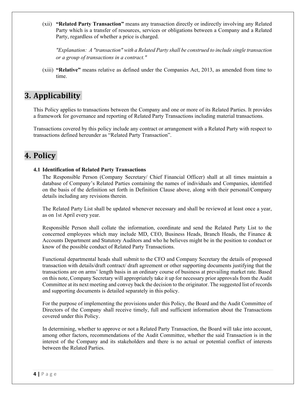(xii) **"Related Party Transaction"** means any transaction directly or indirectly involving any Related Party which is a transfer of resources, services or obligations between a Company and a Related Party, regardless of whether a price is charged.

*"Explanation: A "transaction" with a Related Party shall be construed to include single transaction or a group of transactions in a contract."* 

(xiii) **"Relative"** means relative as defined under the Companies Act, 2013, as amended from time to time.

### **3. Applicability**

This Policy applies to transactions between the Company and one or more of its Related Parties. It provides a framework for governance and reporting of Related Party Transactions including material transactions.

Transactions covered by this policy include any contract or arrangement with a Related Party with respect to transactions defined hereunder as "Related Party Transaction".

### **4. Policy**

### **4.1 Identification of Related Party Transactions**

The Responsible Person (Company Secretary/ Chief Financial Officer) shall at all times maintain a database of Company's Related Parties containing the names of individuals and Companies, identified on the basis of the definition set forth in Definition Clause above, along with their personal/Company details including any revisions therein.

The Related Party List shall be updated whenever necessary and shall be reviewed at least once a year, as on 1st April every year.

Responsible Person shall collate the information, coordinate and send the Related Party List to the concerned employees which may include MD, CEO, Business Heads, Branch Heads, the Finance & Accounts Department and Statutory Auditors and who he believes might be in the position to conduct or know of the possible conduct of Related Party Transactions.

Functional departmental heads shall submit to the CFO and Company Secretary the details of proposed transaction with details/draft contract/ draft agreement or other supporting documents justifying that the transactions are on arms' length basis in an ordinary course of business at prevailing market rate. Based on this note, Company Secretary will appropriately take it up for necessary prior approvals from the Audit Committee at its next meeting and convey back the decision to the originator. The suggested list of records and supporting documents is detailed separately in this policy.

For the purpose of implementing the provisions under this Policy, the Board and the Audit Committee of Directors of the Company shall receive timely, full and sufficient information about the Transactions covered under this Policy.

In determining, whether to approve or not a Related Party Transaction, the Board will take into account, among other factors, recommendations of the Audit Committee, whether the said Transaction is in the interest of the Company and its stakeholders and there is no actual or potential conflict of interests between the Related Parties.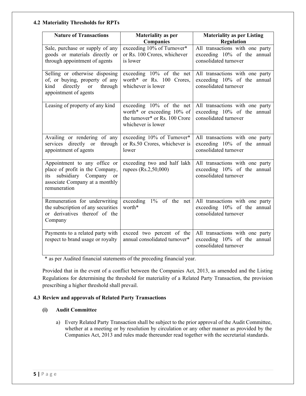### **4.2 Materiality Thresholds for RPTs**

| <b>Nature of Transactions</b>                                                                                                                               | <b>Materiality as per</b><br><b>Companies</b>                                                                     | <b>Materiality as per Listing</b><br><b>Regulation</b>                                  |
|-------------------------------------------------------------------------------------------------------------------------------------------------------------|-------------------------------------------------------------------------------------------------------------------|-----------------------------------------------------------------------------------------|
| Sale, purchase or supply of any<br>goods or materials directly or<br>through appointment of agents                                                          | exceeding 10% of Turnover*<br>or Rs. 100 Crores, whichever<br>is lower                                            | All transactions with one party<br>exceeding 10% of the annual<br>consolidated turnover |
| Selling or otherwise disposing<br>of, or buying, property of any<br>directly<br>through<br>kind<br><sub>or</sub><br>appointment of agents                   | exceeding 10% of the net<br>worth* or Rs. 100 Crores,<br>whichever is lower                                       | All transactions with one party<br>exceeding 10% of the annual<br>consolidated turnover |
| Leasing of property of any kind                                                                                                                             | exceeding 10% of the net<br>worth* or exceeding $10\%$ of<br>the turnover* or Rs. 100 Crore<br>whichever is lower | All transactions with one party<br>exceeding 10% of the annual<br>consolidated turnover |
| Availing or rendering of any<br>services directly or<br>through<br>appointment of agents                                                                    | exceeding 10% of Turnover*<br>or Rs.50 Crores, whichever is<br>lower                                              | All transactions with one party<br>exceeding 10% of the annual<br>consolidated turnover |
| Appointment to any office or<br>place of profit in the Company,<br>subsidiary Company<br><b>or</b><br>its<br>associate Company at a monthly<br>remuneration | exceeding two and half lakh<br>rupees (Rs.2,50,000)                                                               | All transactions with one party<br>exceeding 10% of the annual<br>consolidated turnover |
| Remuneration for underwriting<br>the subscription of any securities<br>or derivatives thereof of the<br>Company                                             | $1\%$ of the net<br>exceeding<br>worth*                                                                           | All transactions with one party<br>exceeding 10% of the annual<br>consolidated turnover |
| Payments to a related party with<br>respect to brand usage or royalty                                                                                       | exceed two percent of the<br>annual consolidated turnover*                                                        | All transactions with one party<br>exceeding 10% of the annual<br>consolidated turnover |

\* as per Audited financial statements of the preceding financial year.

Provided that in the event of a conflict between the Companies Act, 2013, as amended and the Listing Regulations for determining the threshold for materiality of a Related Party Transaction, the provision prescribing a higher threshold shall prevail.

### **4.3 Review and approvals of Related Party Transactions**

### **(i) Audit Committee**

a) Every Related Party Transaction shall be subject to the prior approval of the Audit Committee, whether at a meeting or by resolution by circulation or any other manner as provided by the Companies Act, 2013 and rules made thereunder read together with the secretarial standards.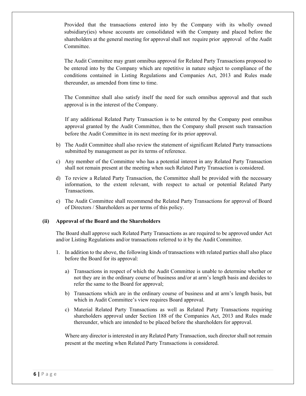Provided that the transactions entered into by the Company with its wholly owned subsidiary(ies) whose accounts are consolidated with the Company and placed before the shareholders at the general meeting for approval shall not require prior approval of the Audit Committee.

The Audit Committee may grant omnibus approval for Related Party Transactions proposed to be entered into by the Company which are repetitive in nature subject to compliance of the conditions contained in Listing Regulations and Companies Act, 2013 and Rules made thereunder, as amended from time to time.

The Committee shall also satisfy itself the need for such omnibus approval and that such approval is in the interest of the Company.

If any additional Related Party Transaction is to be entered by the Company post omnibus approval granted by the Audit Committee, then the Company shall present such transaction before the Audit Committee in its next meeting for its prior approval.

- b) The Audit Committee shall also review the statement of significant Related Party transactions submitted by management as per its terms of reference.
- c) Any member of the Committee who has a potential interest in any Related Party Transaction shall not remain present at the meeting when such Related Party Transaction is considered.
- d) To review a Related Party Transaction, the Committee shall be provided with the necessary information, to the extent relevant, with respect to actual or potential Related Party Transactions.
- e) The Audit Committee shall recommend the Related Party Transactions for approval of Board of Directors / Shareholders as per terms of this policy.

#### **(ii) Approval of the Board and the Shareholders**

The Board shall approve such Related Party Transactions as are required to be approved under Act and/or Listing Regulations and/or transactions referred to it by the Audit Committee.

- 1. In addition to the above, the following kinds of transactions with related parties shall also place before the Board for its approval:
	- a) Transactions in respect of which the Audit Committee is unable to determine whether or not they are in the ordinary course of business and/or at arm's length basis and decides to refer the same to the Board for approval;
	- b) Transactions which are in the ordinary course of business and at arm's length basis, but which in Audit Committee's view requires Board approval.
	- c) Material Related Party Transactions as well as Related Party Transactions requiring shareholders approval under Section 188 of the Companies Act, 2013 and Rules made thereunder, which are intended to be placed before the shareholders for approval.

Where any director is interested in any Related Party Transaction, such director shall not remain present at the meeting when Related Party Transactions is considered.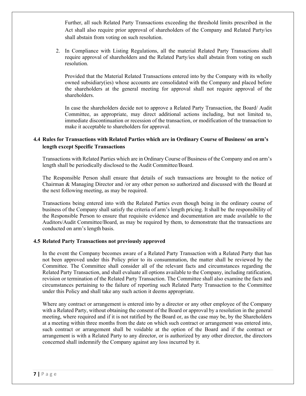Further, all such Related Party Transactions exceeding the threshold limits prescribed in the Act shall also require prior approval of shareholders of the Company and Related Party/ies shall abstain from voting on such resolution.

2. In Compliance with Listing Regulations, all the material Related Party Transactions shall require approval of shareholders and the Related Party/ies shall abstain from voting on such resolution.

Provided that the Material Related Transactions entered into by the Company with its wholly owned subsidiary(ies) whose accounts are consolidated with the Company and placed before the shareholders at the general meeting for approval shall not require approval of the shareholders.

In case the shareholders decide not to approve a Related Party Transaction, the Board/ Audit Committee, as appropriate, may direct additional actions including, but not limited to, immediate discontinuation or recession of the transaction, or modification of the transaction to make it acceptable to shareholders for approval.

### **4.4 Rules for Transactions with Related Parties which are in Ordinary Course of Business/ on arm's length except Specific Transactions**

Transactions with Related Parties which are in Ordinary Course of Business of the Company and on arm's length shall be periodically disclosed to the Audit Committee/Board.

The Responsible Person shall ensure that details of such transactions are brought to the notice of Chairman & Managing Director and /or any other person so authorized and discussed with the Board at the next following meeting, as may be required.

Transactions being entered into with the Related Parties even though being in the ordinary course of business of the Company shall satisfy the criteria of arm's length pricing. It shall be the responsibility of the Responsible Person to ensure that requisite evidence and documentation are made available to the Auditors/Audit Committee/Board, as may be required by them, to demonstrate that the transactions are conducted on arm's length basis.

### **4.5 Related Party Transactions not previously approved**

In the event the Company becomes aware of a Related Party Transaction with a Related Party that has not been approved under this Policy prior to its consummation, the matter shall be reviewed by the Committee. The Committee shall consider all of the relevant facts and circumstances regarding the Related Party Transaction, and shall evaluate all options available to the Company, including ratification, revision or termination of the Related Party Transaction. The Committee shall also examine the facts and circumstances pertaining to the failure of reporting such Related Party Transaction to the Committee under this Policy and shall take any such action it deems appropriate.

Where any contract or arrangement is entered into by a director or any other employee of the Company with a Related Party, without obtaining the consent of the Board or approval by a resolution in the general meeting, where required and if it is not ratified by the Board or, as the case may be, by the Shareholders at a meeting within three months from the date on which such contract or arrangement was entered into, such contract or arrangement shall be voidable at the option of the Board and if the contract or arrangement is with a Related Party to any director, or is authorized by any other director, the directors concerned shall indemnify the Company against any loss incurred by it.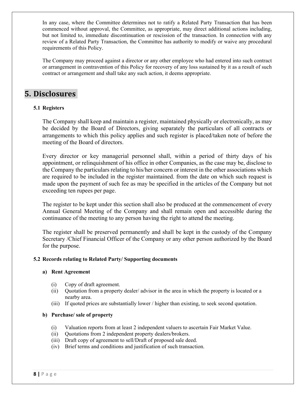In any case, where the Committee determines not to ratify a Related Party Transaction that has been commenced without approval, the Committee, as appropriate, may direct additional actions including, but not limited to, immediate discontinuation or rescission of the transaction. In connection with any review of a Related Party Transaction, the Committee has authority to modify or waive any procedural requirements of this Policy.

The Company may proceed against a director or any other employee who had entered into such contract or arrangement in contravention of this Policy for recovery of any loss sustained by it as a result of such contract or arrangement and shall take any such action, it deems appropriate.

### **5. Disclosures**

### **5.1 Registers**

The Company shall keep and maintain a register, maintained physically or electronically, as may be decided by the Board of Directors, giving separately the particulars of all contracts or arrangements to which this policy applies and such register is placed/taken note of before the meeting of the Board of directors.

Every director or key managerial personnel shall, within a period of thirty days of his appointment, or relinquishment of his office in other Companies, as the case may be, disclose to the Company the particulars relating to his/her concern or interest in the other associations which are required to be included in the register maintained. from the date on which such request is made upon the payment of such fee as may be specified in the articles of the Company but not exceeding ten rupees per page.

The register to be kept under this section shall also be produced at the commencement of every Annual General Meeting of the Company and shall remain open and accessible during the continuance of the meeting to any person having the right to attend the meeting.

The register shall be preserved permanently and shall be kept in the custody of the Company Secretary /Chief Financial Officer of the Company or any other person authorized by the Board for the purpose.

### **5.2 Records relating to Related Party/ Supporting documents**

### **a) Rent Agreement**

- (i) Copy of draft agreement.
- (ii) Quotation from a property dealer/ advisor in the area in which the property is located or a nearby area.
- (iii) If quoted prices are substantially lower / higher than existing, to seek second quotation.

### **b) Purchase/ sale of property**

- (i) Valuation reports from at least 2 independent valuers to ascertain Fair Market Value.
- (ii) Quotations from 2 independent property dealers/brokers.
- (iii) Draft copy of agreement to sell/Draft of proposed sale deed.
- (iv) Brief terms and conditions and justification of such transaction.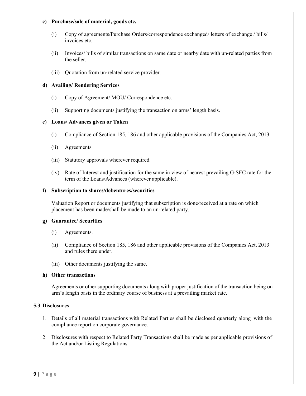#### **c) Purchase/sale of material, goods etc.**

- (i) Copy of agreements/Purchase Orders/correspondence exchanged/ letters of exchange / bills/ invoices etc.
- (ii) Invoices/ bills of similar transactions on same date or nearby date with un-related parties from the seller.
- (iii) Quotation from un-related service provider.

### **d) Availing/ Rendering Services**

- (i) Copy of Agreement/ MOU/ Correspondence etc.
- (ii) Supporting documents justifying the transaction on arms' length basis.

### **e) Loans/ Advances given or Taken**

- (i) Compliance of Section 185, 186 and other applicable provisions of the Companies Act, 2013
- (ii) Agreements
- (iii) Statutory approvals wherever required.
- (iv) Rate of Interest and justification for the same in view of nearest prevailing G-SEC rate for the term of the Loans/Advances (wherever applicable).

### **f) Subscription to shares/debentures/securities**

Valuation Report or documents justifying that subscription is done/received at a rate on which placement has been made/shall be made to an un‐related party.

### **g) Guarantee/ Securities**

- (i) Agreements.
- (ii) Compliance of Section 185, 186 and other applicable provisions of the Companies Act, 2013 and rules there under.
- (iii) Other documents justifying the same.

### **h) Other transactions**

Agreements or other supporting documents along with proper justification of the transaction being on arm's length basis in the ordinary course of business at a prevailing market rate.

### **5.3 Disclosures**

- 1. Details of all material transactions with Related Parties shall be disclosed quarterly along with the compliance report on corporate governance.
- 2 Disclosures with respect to Related Party Transactions shall be made as per applicable provisions of the Act and/or Listing Regulations.